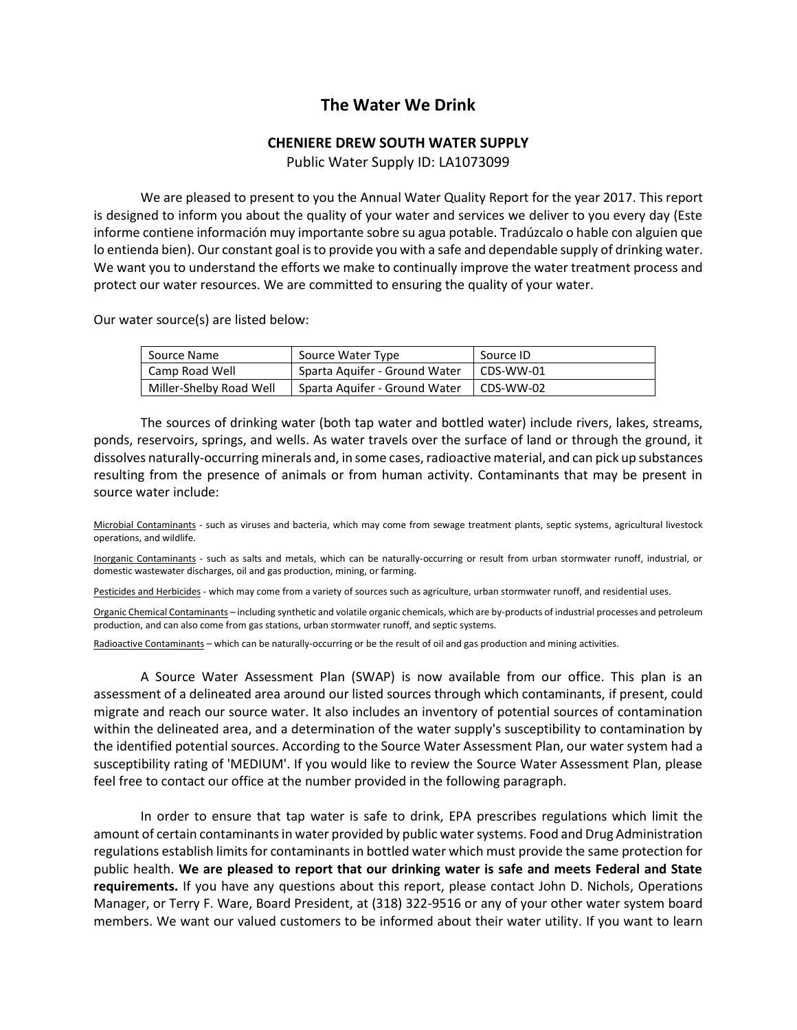## **The Water We Drink**

## **CHENIERE DREW SOUTH WATER SUPPLY**

Public Water Supply ID: LA1073099

We are pleased to present to you the Annual Water Quality Report for the year 2017. This report is designed to inform you about the quality of your water and services we deliver to you every day (Este informe contiene información muy importante sobre su agua potable. Tradúzcalo o hable con alguien que lo entienda bien). Our constant goal is to provide you with a safe and dependable supply of drinking water. We want you to understand the efforts we make to continually improve the water treatment process and protect our water resources. We are committed to ensuring the quality of your water.

Our water source(s) are listed below:

| Source Name             | Source Water Type             | Source ID |
|-------------------------|-------------------------------|-----------|
| Camp Road Well          | Sparta Aquifer - Ground Water | CDS-WW-01 |
| Miller-Shelby Road Well | Sparta Aguifer - Ground Water | CDS-WW-02 |

The sources of drinking water (both tap water and bottled water) include rivers, lakes, streams, ponds, reservoirs, springs, and wells. As water travels over the surface of land or through the ground, it dissolves naturally-occurring minerals and, in some cases, radioactive material, and can pick up substances resulting from the presence of animals or from human activity. Contaminants that may be present in source water include:

Microbial Contaminants - such as viruses and bacteria, which may come from sewage treatment plants, septic systems, agricultural livestock operations, and wildlife.

Inorganic Contaminants - such as salts and metals, which can be naturally-occurring or result from urban stormwater runoff, industrial, or domestic wastewater discharges, oil and gas production, mining, or farming.

Pesticides and Herbicides - which may come from a variety of sources such as agriculture, urban stormwater runoff, and residential uses.

Organic Chemical Contaminants – including synthetic and volatile organic chemicals, which are by-products of industrial processes and petroleum production, and can also come from gas stations, urban stormwater runoff, and septic systems.

Radioactive Contaminants – which can be naturally-occurring or be the result of oil and gas production and mining activities.

A Source Water Assessment Plan (SWAP) is now available from our office. This plan is an assessment of a delineated area around our listed sources through which contaminants, if present, could migrate and reach our source water. It also includes an inventory of potential sources of contamination within the delineated area, and a determination of the water supply's susceptibility to contamination by the identified potential sources. According to the Source Water Assessment Plan, our water system had a susceptibility rating of 'MEDIUM'. If you would like to review the Source Water Assessment Plan, please feel free to contact our office at the number provided in the following paragraph.

In order to ensure that tap water is safe to drink, EPA prescribes regulations which limit the amount of certain contaminants in water provided by public water systems. Food and Drug Administration regulations establish limits for contaminants in bottled water which must provide the same protection for public health. **We are pleased to report that our drinking water is safe and meets Federal and State requirements.** If you have any questions about this report, please contact John D. Nichols, Operations Manager, or Terry F. Ware, Board President, at (318) 322-9516 or any of your other water system board members. We want our valued customers to be informed about their water utility. If you want to learn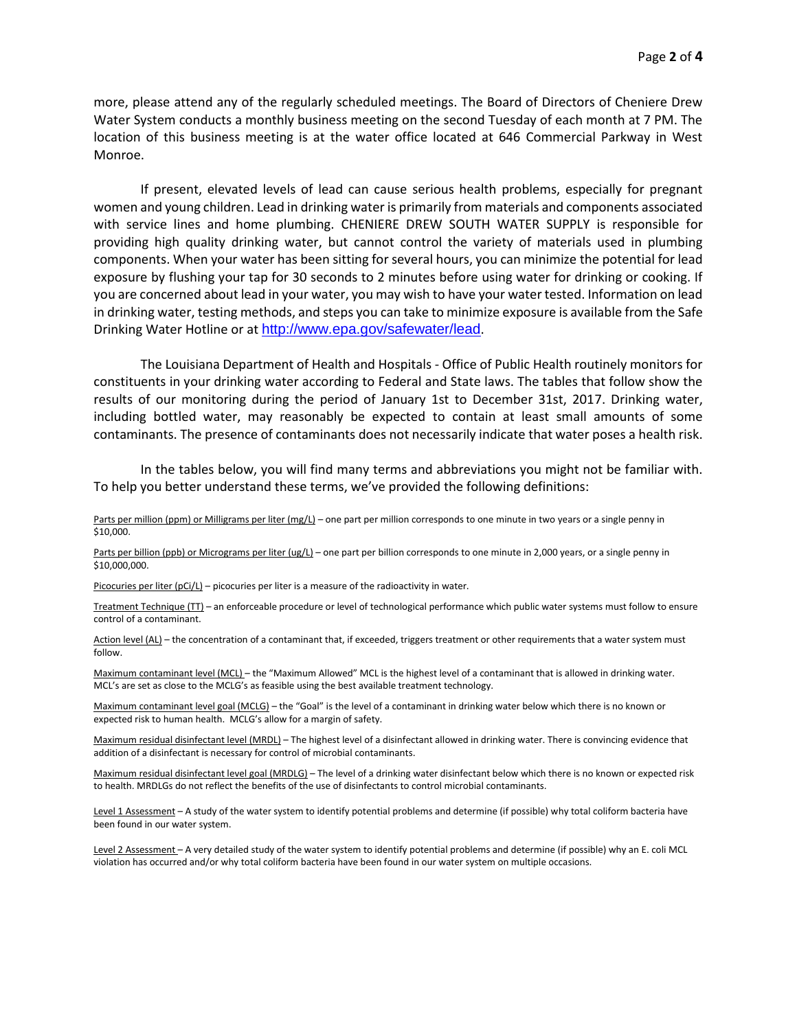more, please attend any of the regularly scheduled meetings. The Board of Directors of Cheniere Drew Water System conducts a monthly business meeting on the second Tuesday of each month at 7 PM. The location of this business meeting is at the water office located at 646 Commercial Parkway in West Monroe.

If present, elevated levels of lead can cause serious health problems, especially for pregnant women and young children. Lead in drinking water is primarily from materials and components associated with service lines and home plumbing. CHENIERE DREW SOUTH WATER SUPPLY is responsible for providing high quality drinking water, but cannot control the variety of materials used in plumbing components. When your water has been sitting for several hours, you can minimize the potential for lead exposure by flushing your tap for 30 seconds to 2 minutes before using water for drinking or cooking. If you are concerned about lead in your water, you may wish to have your water tested. Information on lead in drinking water, testing methods, and steps you can take to minimize exposure is available from the Safe Drinking Water Hotline or at <http://www.epa.gov/safewater/lead>.

The Louisiana Department of Health and Hospitals - Office of Public Health routinely monitors for constituents in your drinking water according to Federal and State laws. The tables that follow show the results of our monitoring during the period of January 1st to December 31st, 2017. Drinking water, including bottled water, may reasonably be expected to contain at least small amounts of some contaminants. The presence of contaminants does not necessarily indicate that water poses a health risk.

In the tables below, you will find many terms and abbreviations you might not be familiar with. To help you better understand these terms, we've provided the following definitions:

Parts per million (ppm) or Milligrams per liter (mg/L) – one part per million corresponds to one minute in two years or a single penny in \$10,000.

Parts per billion (ppb) or Micrograms per liter (ug/L) – one part per billion corresponds to one minute in 2,000 years, or a single penny in \$10,000,000.

Picocuries per liter (pCi/L) – picocuries per liter is a measure of the radioactivity in water.

Treatment Technique (TT) – an enforceable procedure or level of technological performance which public water systems must follow to ensure control of a contaminant.

Action level (AL) - the concentration of a contaminant that, if exceeded, triggers treatment or other requirements that a water system must follow.

Maximum contaminant level (MCL) – the "Maximum Allowed" MCL is the highest level of a contaminant that is allowed in drinking water. MCL's are set as close to the MCLG's as feasible using the best available treatment technology.

Maximum contaminant level goal (MCLG) – the "Goal" is the level of a contaminant in drinking water below which there is no known or expected risk to human health. MCLG's allow for a margin of safety.

Maximum residual disinfectant level (MRDL) – The highest level of a disinfectant allowed in drinking water. There is convincing evidence that addition of a disinfectant is necessary for control of microbial contaminants.

Maximum residual disinfectant level goal (MRDLG) – The level of a drinking water disinfectant below which there is no known or expected risk to health. MRDLGs do not reflect the benefits of the use of disinfectants to control microbial contaminants.

Level 1 Assessment - A study of the water system to identify potential problems and determine (if possible) why total coliform bacteria have been found in our water system.

Level 2 Assessment - A very detailed study of the water system to identify potential problems and determine (if possible) why an E. coli MCL violation has occurred and/or why total coliform bacteria have been found in our water system on multiple occasions.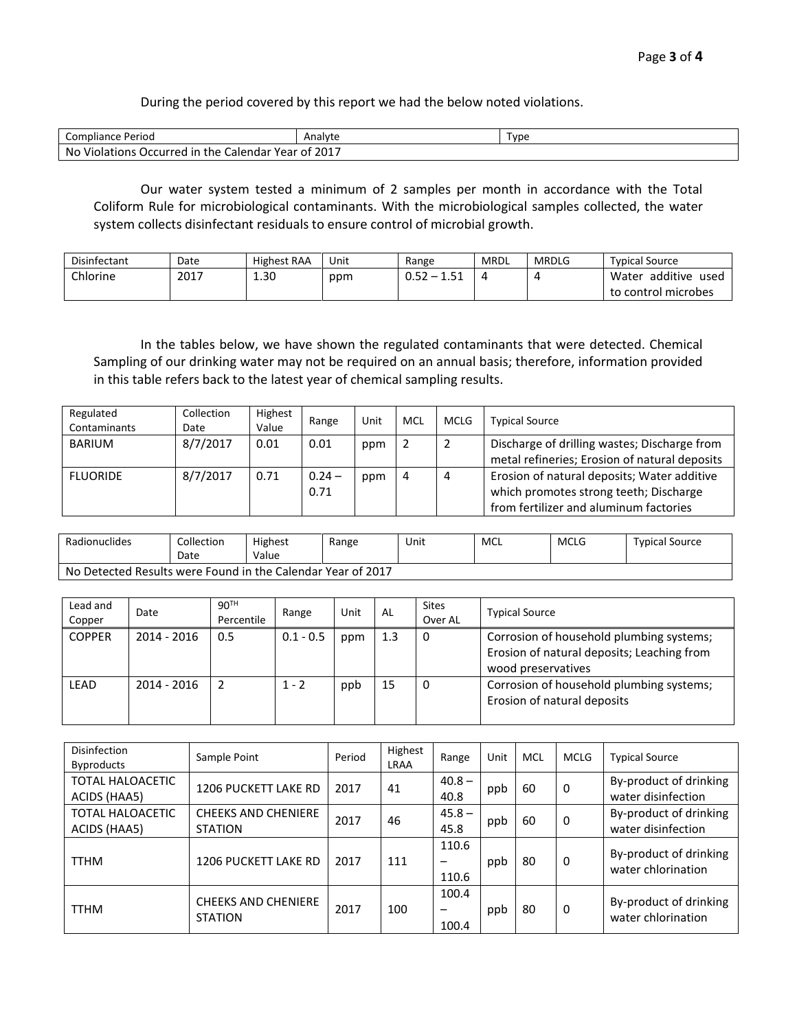During the period covered by this report we had the below noted violations.

| Compliance Period                                             | Analyte | Type |
|---------------------------------------------------------------|---------|------|
| <b>Violations</b><br>No<br>، Occurred in the Calendar Year of | 2017    |      |

Our water system tested a minimum of 2 samples per month in accordance with the Total Coliform Rule for microbiological contaminants. With the microbiological samples collected, the water system collects disinfectant residuals to ensure control of microbial growth.

| Disinfectant | Date | <b>Highest RAA</b> | Unit | Range | MRDL | <b>MRDLG</b> | <b>Typical Source</b>     |
|--------------|------|--------------------|------|-------|------|--------------|---------------------------|
| Chlorine     | 2017 | 1.30               | ppm  | U.JZ  |      |              | additive<br>Water<br>used |
|              |      |                    |      |       |      |              | to control microbes       |

In the tables below, we have shown the regulated contaminants that were detected. Chemical Sampling of our drinking water may not be required on an annual basis; therefore, information provided in this table refers back to the latest year of chemical sampling results.

| Regulated<br>Contaminants | Collection<br>Date | Highest<br>Value | Range            | Unit | MCL | <b>MCLG</b> | <b>Typical Source</b>                                                                                                           |
|---------------------------|--------------------|------------------|------------------|------|-----|-------------|---------------------------------------------------------------------------------------------------------------------------------|
| <b>BARIUM</b>             | 8/7/2017           | 0.01             | 0.01             | ppm  |     |             | Discharge of drilling wastes; Discharge from<br>metal refineries; Erosion of natural deposits                                   |
| <b>FLUORIDE</b>           | 8/7/2017           | 0.71             | $0.24 -$<br>0.71 | ppm  | 4   | 4           | Erosion of natural deposits; Water additive<br>which promotes strong teeth; Discharge<br>from fertilizer and aluminum factories |

| Radionuclides                                               | Collection<br>Date | Highest<br>Value | Range | Unit | MCL | <b>MCLG</b> | <b>Typical Source</b> |  |
|-------------------------------------------------------------|--------------------|------------------|-------|------|-----|-------------|-----------------------|--|
| No Detected Results were Found in the Calendar Year of 2017 |                    |                  |       |      |     |             |                       |  |

| Lead and<br>Copper | Date          | 90 <sup>TH</sup><br>Percentile | Range       | Unit | AL  | <b>Sites</b><br>Over AL | <b>Typical Source</b>                                                                                        |
|--------------------|---------------|--------------------------------|-------------|------|-----|-------------------------|--------------------------------------------------------------------------------------------------------------|
| <b>COPPER</b>      | 2014 - 2016   | 0.5                            | $0.1 - 0.5$ | ppm  | 1.3 | 0                       | Corrosion of household plumbing systems;<br>Erosion of natural deposits; Leaching from<br>wood preservatives |
| <b>LEAD</b>        | $2014 - 2016$ |                                | $1 - 2$     | ppb  | 15  | 0                       | Corrosion of household plumbing systems;<br>Erosion of natural deposits                                      |

| Disinfection<br><b>Byproducts</b>       | Sample Point                                 | Period | Highest<br>LRAA | Range               | Unit | <b>MCL</b> | <b>MCLG</b> | <b>Typical Source</b>                        |
|-----------------------------------------|----------------------------------------------|--------|-----------------|---------------------|------|------------|-------------|----------------------------------------------|
| <b>TOTAL HALOACETIC</b><br>ACIDS (HAA5) | <b>1206 PUCKETT LAKE RD</b>                  | 2017   | 41              | $40.8 -$<br>40.8    | ppb  | 60         | 0           | By-product of drinking<br>water disinfection |
| <b>TOTAL HALOACETIC</b><br>ACIDS (HAA5) | <b>CHEEKS AND CHENIERE</b><br><b>STATION</b> | 2017   | 46              | $45.8 -$<br>45.8    | ppb  | 60         | 0           | By-product of drinking<br>water disinfection |
| <b>TTHM</b>                             | <b>1206 PUCKETT LAKE RD</b>                  | 2017   | 111             | 110.6<br>—<br>110.6 | ppb  | 80         | 0           | By-product of drinking<br>water chlorination |
| <b>TTHM</b>                             | <b>CHEEKS AND CHENIERE</b><br><b>STATION</b> | 2017   | 100             | 100.4<br>—<br>100.4 | ppb  | 80         | 0           | By-product of drinking<br>water chlorination |